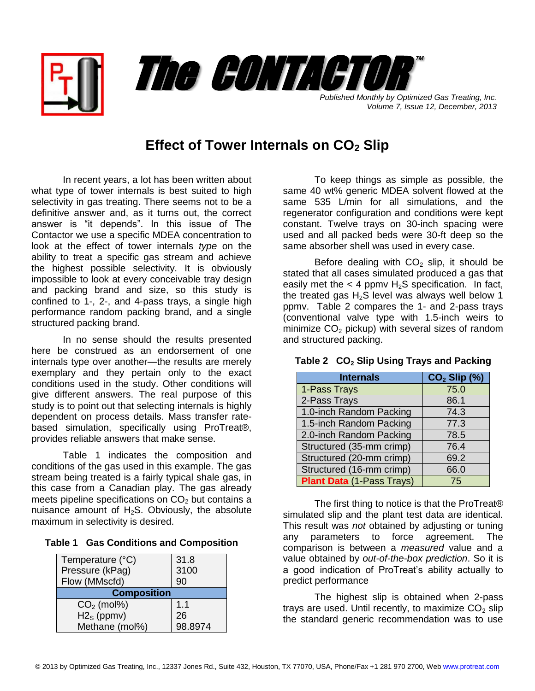



*Volume 7, Issue 12, December, 2013*

## **Effect of Tower Internals on CO<sup>2</sup> Slip**

In recent years, a lot has been written about what type of tower internals is best suited to high selectivity in gas treating. There seems not to be a definitive answer and, as it turns out, the correct answer is "it depends". In this issue of The Contactor we use a specific MDEA concentration to look at the effect of tower internals *type* on the ability to treat a specific gas stream and achieve the highest possible selectivity. It is obviously impossible to look at every conceivable tray design and packing brand and size, so this study is confined to 1-, 2-, and 4-pass trays, a single high performance random packing brand, and a single structured packing brand.

In no sense should the results presented here be construed as an endorsement of one internals type over another—the results are merely exemplary and they pertain only to the exact conditions used in the study. Other conditions will give different answers. The real purpose of this study is to point out that selecting internals is highly dependent on process details. Mass transfer ratebased simulation, specifically using ProTreat®, provides reliable answers that make sense.

Table 1 indicates the composition and conditions of the gas used in this example. The gas stream being treated is a fairly typical shale gas, in this case from a Canadian play. The gas already meets pipeline specifications on  $CO<sub>2</sub>$  but contains a nuisance amount of  $H_2S$ . Obviously, the absolute maximum in selectivity is desired.

|  |  |  |  | Table 1 Gas Conditions and Composition |
|--|--|--|--|----------------------------------------|
|--|--|--|--|----------------------------------------|

| Temperature (°C)   | 31.8    |  |  |  |  |
|--------------------|---------|--|--|--|--|
| Pressure (kPag)    | 3100    |  |  |  |  |
| Flow (MMscfd)      | 90      |  |  |  |  |
| <b>Composition</b> |         |  |  |  |  |
| $CO2$ (mol%)       | 1.1     |  |  |  |  |
| $H2S$ (ppmv)       | 26      |  |  |  |  |
| Methane (mol%)     | 98.8974 |  |  |  |  |

To keep things as simple as possible, the same 40 wt% generic MDEA solvent flowed at the same 535 L/min for all simulations, and the regenerator configuration and conditions were kept constant. Twelve trays on 30-inch spacing were used and all packed beds were 30-ft deep so the same absorber shell was used in every case.

Before dealing with  $CO<sub>2</sub>$  slip, it should be stated that all cases simulated produced a gas that easily met the  $<$  4 ppmv H<sub>2</sub>S specification. In fact, the treated gas  $H_2S$  level was always well below 1 ppmv. Table 2 compares the 1- and 2-pass trays (conventional valve type with 1.5-inch weirs to minimize  $CO<sub>2</sub>$  pickup) with several sizes of random and structured packing.

| <b>Internals</b>                 | $CO2$ Slip $(\%)$ |
|----------------------------------|-------------------|
| 1-Pass Trays                     | 75.0              |
| 2-Pass Trays                     | 86.1              |
| 1.0-inch Random Packing          | 74.3              |
| 1.5-inch Random Packing          | 77.3              |
| 2.0-inch Random Packing          | 78.5              |
| Structured (35-mm crimp)         | 76.4              |
| Structured (20-mm crimp)         | 69.2              |
| Structured (16-mm crimp)         | 66.0              |
| <b>Plant Data (1-Pass Trays)</b> | 75                |

## **Table 2 CO<sup>2</sup> Slip Using Trays and Packing**

The first thing to notice is that the ProTreat® simulated slip and the plant test data are identical. This result was *not* obtained by adjusting or tuning any parameters to force agreement. The comparison is between a *measured* value and a value obtained by *out-of-the-box prediction*. So it is a good indication of ProTreat's ability actually to predict performance

The highest slip is obtained when 2-pass trays are used. Until recently, to maximize  $CO<sub>2</sub>$  slip the standard generic recommendation was to use